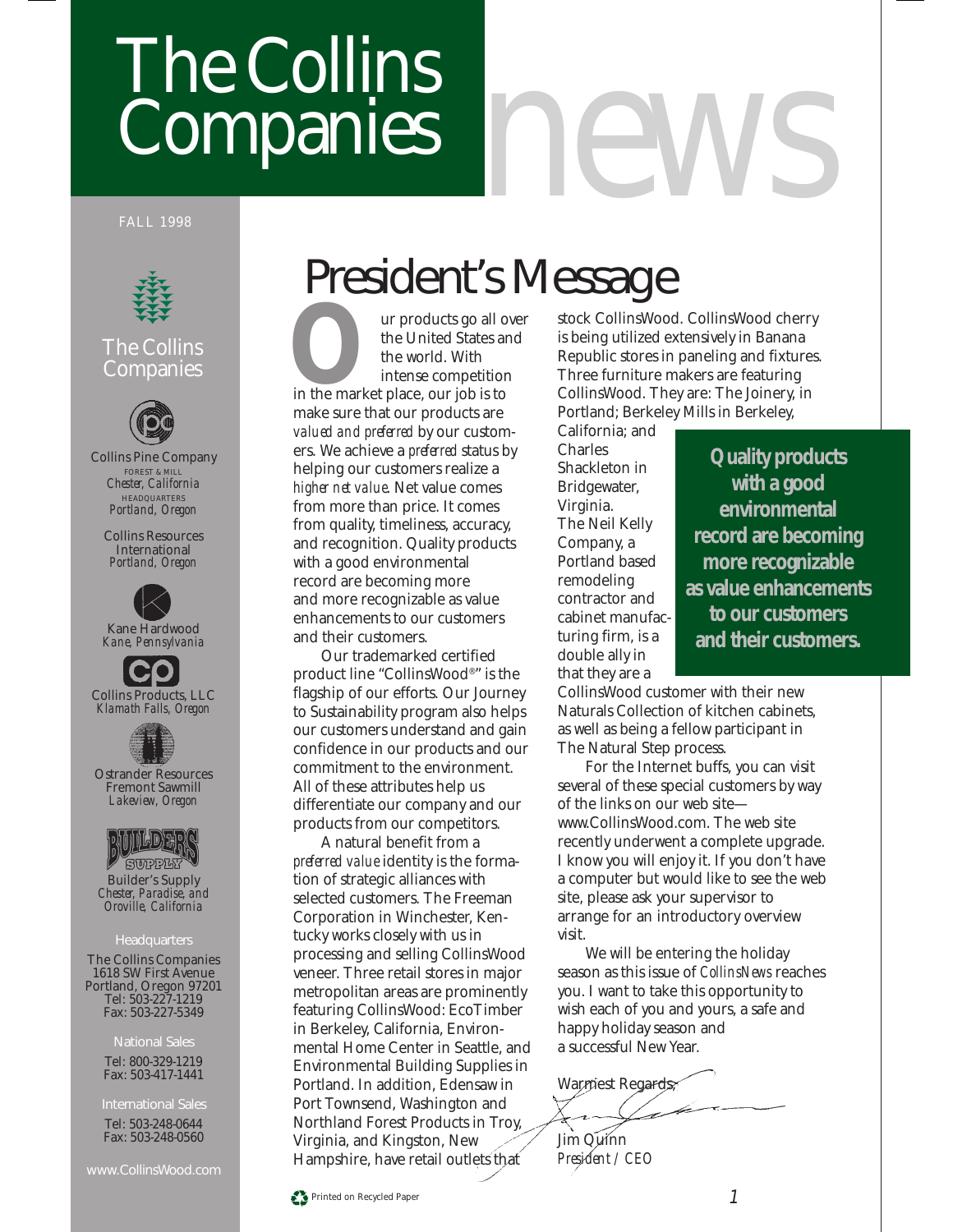# The Collins Companies *news*

#### FALL 1998



### The Collins **Companies**



Collins Pine Company FOREST & MILL *Chester, California* **HEADQUARTERS** *Portland, Oregon*

Collins Resources International *Portland, Oregon*







Ostrander Resources Fremont Sawmill *Lakeview, Oregon*



**SUPPLY** Builder's Supply *Chester, Paradise, and Oroville, California*

#### **Headquarters**

The Collins Companies 1618 SW First Avenue Portland, Oregon 97201 Tel: 503-227-1219 Fax: 503-227-5349

#### National Sales

Tel: 800-329-1219 Fax: 503-417-1441

Tel: 503-248-0644 Fax: 503-248-0560

www.CollinsWood.com

### President's Message

**OUR EXECUTE SEXUARE SEXUARE SEXUARE SEXUARE SEXUAL STATE OF THE MARKET PLACE SEXUAL SEXUAL SEXUAL SEXUAL STATE SEXUAL STATE SEXUAL STATE SEXUAL STATE SEXUAL STATE SEXUAL STATE SEXUAL STATE SEXUAL STATE SEXUAL STATE SEXUAL** the United States and the world. With intense competition make sure that our products are *valued and preferred* by our customers. We achieve a *preferred* status by helping our customers realize a *higher net value*. Net value comes from more than price. It comes from quality, timeliness, accuracy, and recognition. Quality products with a good environmental record are becoming more and more recognizable as value enhancements to our customers and their customers.

Our trademarked certified product line "CollinsWood®" is the flagship of our efforts. Our Journey to Sustainability program also helps our customers understand and gain confidence in our products and our commitment to the environment. All of these attributes help us differentiate our company and our products from our competitors.

A natural benefit from a *preferred value* identity is the formation of strategic alliances with selected customers. The Freeman Corporation in Winchester, Kentucky works closely with us in processing and selling CollinsWood veneer. Three retail stores in major metropolitan areas are prominently featuring CollinsWood: EcoTimber in Berkeley, California, Environmental Home Center in Seattle, and Environmental Building Supplies in Portland. In addition, Edensaw in Port Townsend, Washington and Northland Forest Products in Troy, Virginia, and Kingston, New Hampshire, have retail outlets that

stock CollinsWood. CollinsWood cherry is being utilized extensively in Banana Republic stores in paneling and fixtures. Three furniture makers are featuring CollinsWood. They are: The Joinery, in Portland; Berkeley Mills in Berkeley,

California; and Charles Shackleton in Bridgewater, Virginia. The Neil Kelly Company, a Portland based remodeling contractor and cabinet manufacturing firm, is a double ally in that they are a

**Quality products with a good environmental record are becoming more recognizable as value enhancements to our customers and their customers.**

CollinsWood customer with their new Naturals Collection of kitchen cabinets, as well as being a fellow participant in The Natural Step process.

For the Internet buffs, you can visit several of these special customers by way of the links on our web site www.CollinsWood.com. The web site recently underwent a complete upgrade. I know you will enjoy it. If you don't have a computer but would like to see the web site, please ask your supervisor to arrange for an introductory overview visit.

We will be entering the holiday season as this issue of *CollinsNews* reaches you. I want to take this opportunity to wish each of you and yours, a safe and happy holiday season and a successful New Year.

Warmest Regards, Jim Quinn

*President / CEO*

Printed on Recycled Paper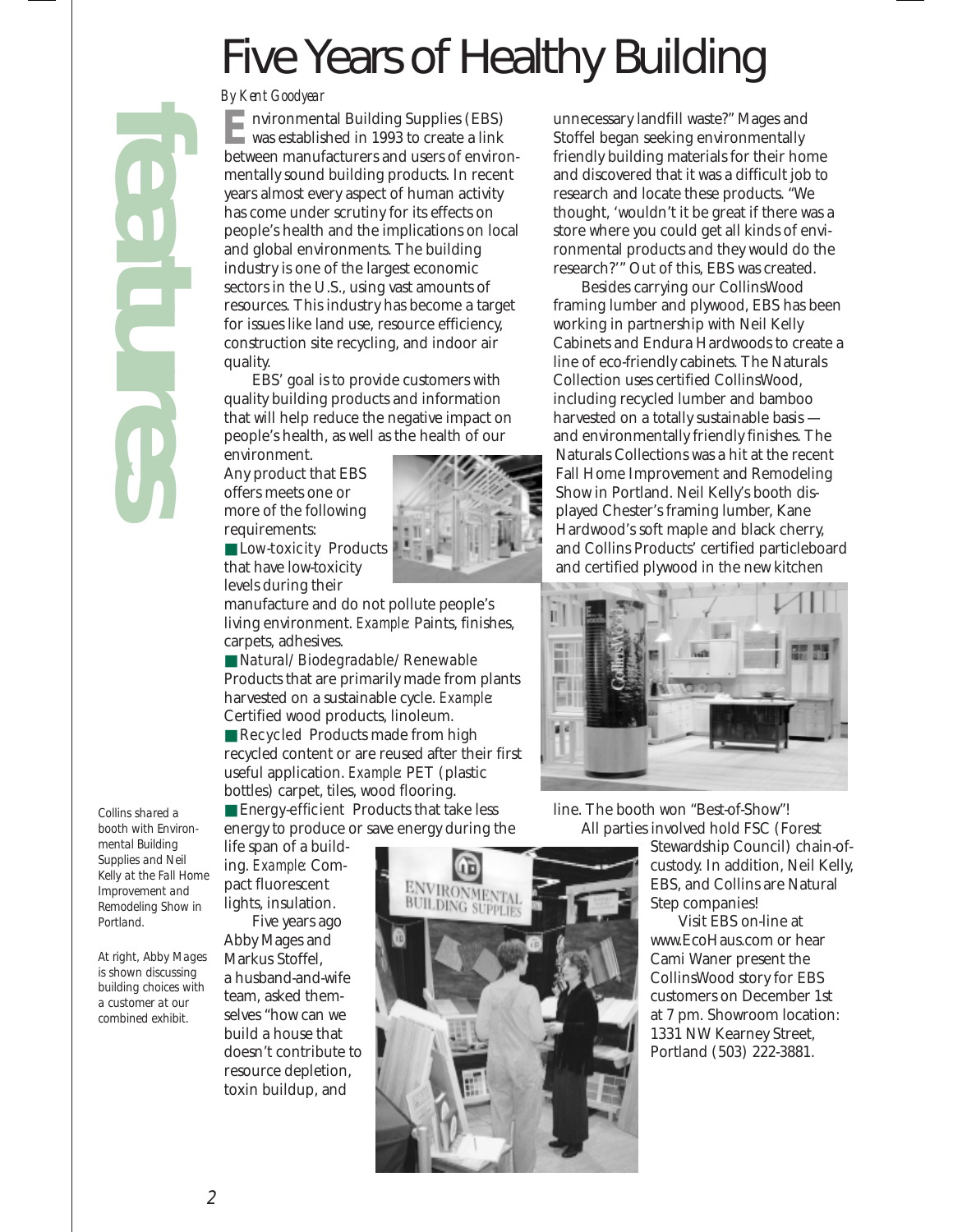# Five Years of Healthy Building

#### *By Kent Goodyear*

nvironmental Building Supplies (EBS) was established in 1993 to create a link **Exercise 1** Nuite must be<br>twas established in 1993 to create a link between manufacturers and users of environmentally sound building products. In recent years almost every aspect of human activity has come under scrutiny for its effects on people's health and the implications on local and global environments. The building industry is one of the largest economic sectors in the U.S., using vast amounts of resources. This industry has become a target for issues like land use, resource efficiency, construction site recycling, and indoor air quality.

EBS' goal is to provide customers with quality building products and information that will help reduce the negative impact on people's health, as well as the health of our

environment. Any product that EBS offers meets one or more of the following requirements:

■ Low-toxicity Products that have low-toxicity levels during their

manufacture and do not pollute people's living environment. *Example:* Paints, finishes, carpets, adhesives.

■ Natural/Biodegradable/Renewable Products that are primarily made from plants harvested on a sustainable cycle. *Example:* Certified wood products, linoleum. ■ Recycled Products made from high recycled content or are reused after their first

useful application. *Example:* PET (plastic bottles) carpet, tiles, wood flooring. ■ Energy-efficient Products that take less

energy to produce or save energy during the

life span of a building. *Example:* Compact fluorescent lights, insulation.

Five years ago Abby Mages and Markus Stoffel, a husband-and-wife team, asked themselves "how can we build a house that doesn't contribute to resource depletion, toxin buildup, and



unnecessary landfill waste?" Mages and Stoffel began seeking environmentally friendly building materials for their home and discovered that it was a difficult job to research and locate these products. "We thought, 'wouldn't it be great if there was a store where you could get all kinds of environmental products and they would do the research?'" Out of this, EBS was created.

Besides carrying our CollinsWood framing lumber and plywood, EBS has been working in partnership with Neil Kelly Cabinets and Endura Hardwoods to create a line of eco-friendly cabinets. The Naturals Collection uses certified CollinsWood, including recycled lumber and bamboo harvested on a totally sustainable basis and environmentally friendly finishes. The Naturals Collections was a hit at the recent Fall Home Improvement and Remodeling Show in Portland. Neil Kelly's booth displayed Chester's framing lumber, Kane Hardwood's soft maple and black cherry, and Collins Products' certified particleboard and certified plywood in the new kitchen



line. The booth won "Best-of-Show"! All parties involved hold FSC (Forest

Stewardship Council) chain-ofcustody. In addition, Neil Kelly, EBS, and Collins are Natural Step companies!

Visit EBS on-line at www.EcoHaus.com or hear Cami Waner present the CollinsWood story for EBS customers on December 1st at 7 pm. Showroom location: 1331 NW Kearney Street, Portland (503) 222-3881.

*Collins shared a booth with Environmental Building Supplies and Neil Kelly at the Fall Home Improvement and Remodeling Show in Portland.*

*features*

*At right, Abby Mages is shown discussing building choices with a customer at our combined exhibit.*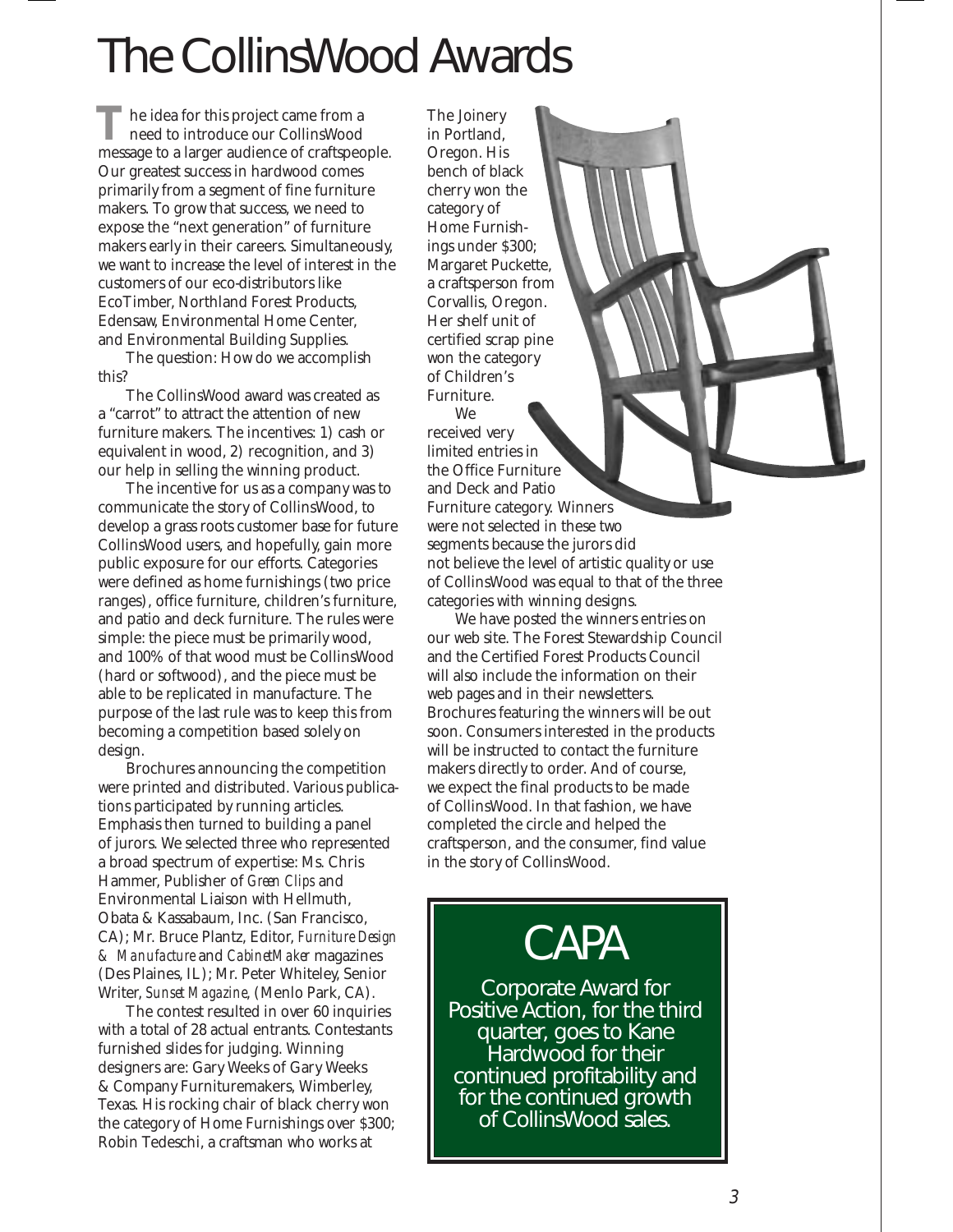# The CollinsWood Awards

he idea for this project came from a need to introduce our CollinsWood The idea for this project came from a<br>need to introduce our CollinsWood<br>message to a larger audience of craftspeople. Our greatest success in hardwood comes primarily from a segment of fine furniture makers. To grow that success, we need to expose the "next generation" of furniture makers early in their careers. Simultaneously, we want to increase the level of interest in the customers of our eco-distributors like EcoTimber, Northland Forest Products, Edensaw, Environmental Home Center, and Environmental Building Supplies.

The question: How do we accomplish this?

The CollinsWood award was created as a "carrot" to attract the attention of new furniture makers. The incentives: 1) cash or equivalent in wood, 2) recognition, and 3) our help in selling the winning product.

The incentive for us as a company was to communicate the story of CollinsWood, to develop a grass roots customer base for future CollinsWood users, and hopefully, gain more public exposure for our efforts. Categories were defined as home furnishings (two price ranges), office furniture, children's furniture, and patio and deck furniture. The rules were simple: the piece must be primarily wood, and 100% of that wood must be CollinsWood (hard or softwood), and the piece must be able to be replicated in manufacture. The purpose of the last rule was to keep this from becoming a competition based solely on design.

Brochures announcing the competition were printed and distributed. Various publications participated by running articles. Emphasis then turned to building a panel of jurors. We selected three who represented a broad spectrum of expertise: Ms. Chris Hammer, Publisher of *Green Clips* and Environmental Liaison with Hellmuth, Obata & Kassabaum, Inc. (San Francisco, CA); Mr. Bruce Plantz, Editor, *Furniture Design & Manufacture* and *CabinetMaker* magazines (Des Plaines, IL); Mr. Peter Whiteley, Senior Writer, *Sunset Magazine*, (Menlo Park, CA).

The contest resulted in over 60 inquiries with a total of 28 actual entrants. Contestants furnished slides for judging. Winning designers are: Gary Weeks of Gary Weeks & Company Furnituremakers, Wimberley, Texas. His rocking chair of black cherry won the category of Home Furnishings over \$300; Robin Tedeschi, a craftsman who works at

The Joinery in Portland, Oregon. His bench of black cherry won the category of Home Furnishings under \$300; Margaret Puckette, a craftsperson from Corvallis, Oregon. Her shelf unit of certified scrap pine won the category of Children's Furniture.

We

received very limited entries in the Office Furniture and Deck and Patio Furniture category. Winners were not selected in these two segments because the jurors did not believe the level of artistic quality or use of CollinsWood was equal to that of the three categories with winning designs.

We have posted the winners entries on our web site. The Forest Stewardship Council and the Certified Forest Products Council will also include the information on their web pages and in their newsletters. Brochures featuring the winners will be out soon. Consumers interested in the products will be instructed to contact the furniture makers directly to order. And of course, we expect the final products to be made of CollinsWood. In that fashion, we have completed the circle and helped the craftsperson, and the consumer, find value in the story of CollinsWood.

### **CAPA**

Corporate Award for Positive Action, for the third quarter, goes to Kane Hardwood for their continued profitability and for the continued growth of CollinsWood sales.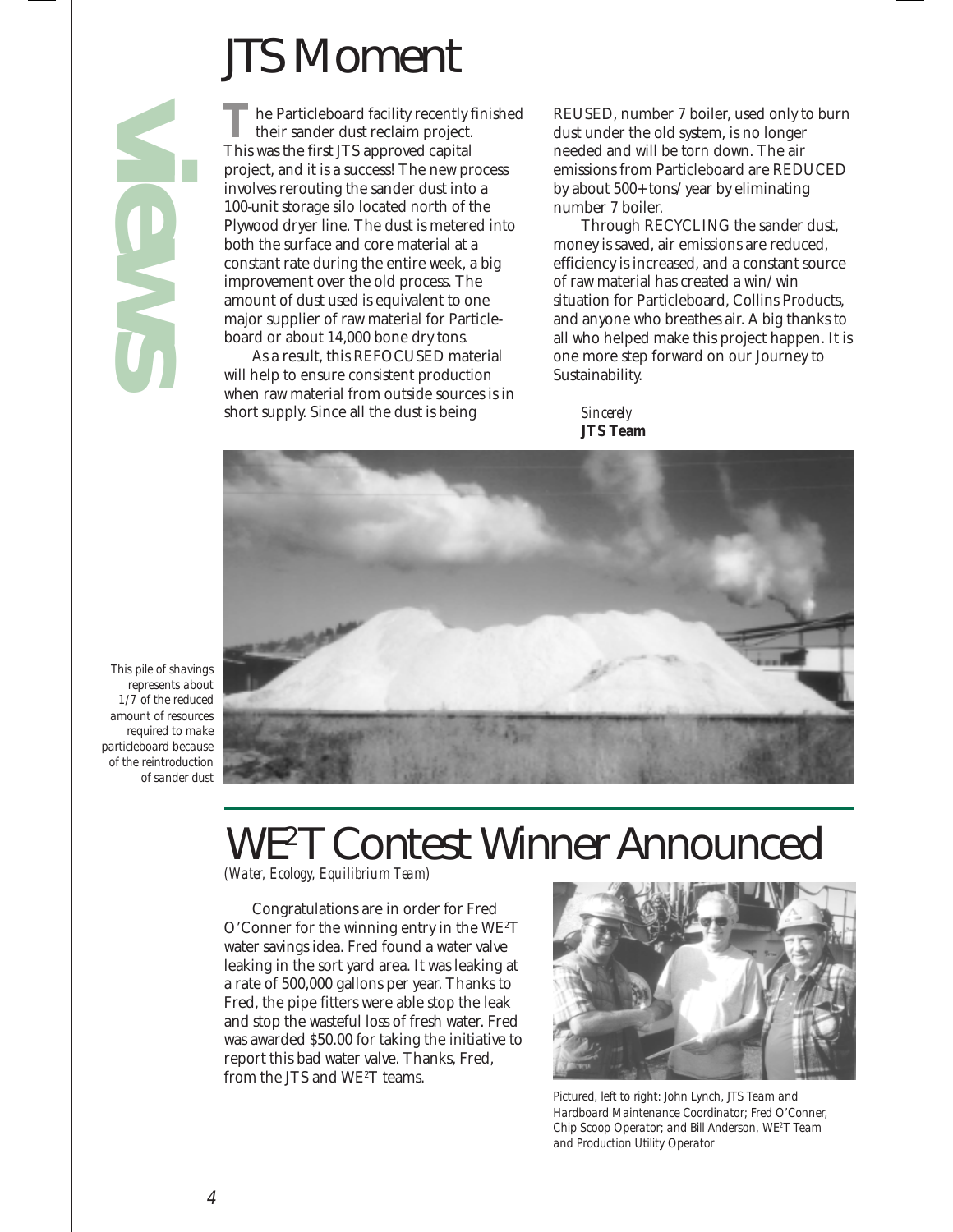# JTS Moment

*views*

he Particleboard facility recently finished their sander dust reclaim project. The Particleboard facility recently their sander dust reclaim project.<br>This was the first JTS approved capital project, and it is a success! The new process involves rerouting the sander dust into a 100-unit storage silo located north of the Plywood dryer line. The dust is metered into both the surface and core material at a constant rate during the entire week, a big improvement over the old process. The amount of dust used is equivalent to one major supplier of raw material for Particleboard or about 14,000 bone dry tons.

As a result, this REFOCUSED material will help to ensure consistent production when raw material from outside sources is in short supply. Since all the dust is being

REUSED, number 7 boiler, used only to burn dust under the old system, is no longer needed and will be torn down. The air emissions from Particleboard are REDUCED by about 500+ tons/year by eliminating number 7 boiler.

Through RECYCLING the sander dust, money is saved, air emissions are reduced, efficiency is increased, and a constant source of raw material has created a win/win situation for Particleboard, Collins Products, and anyone who breathes air. A big thanks to all who helped make this project happen. It is one more step forward on our Journey to Sustainability.

*Sincerely* **JTS Team**



*This pile of shavings represents about 1/7 of the reduced amount of resources required to make particleboard because of the reintroduction of sander dust*

## WE2T Contest Winner Announced

*(Water, Ecology, Equilibrium Team)*

Congratulations are in order for Fred O'Conner for the winning entry in the WE $^{\rm 2T}$ water savings idea. Fred found a water valve leaking in the sort yard area. It was leaking at a rate of 500,000 gallons per year. Thanks to Fred, the pipe fitters were able stop the leak and stop the wasteful loss of fresh water. Fred was awarded \$50.00 for taking the initiative to report this bad water valve. Thanks, Fred, from the JTS and WE2 T teams.



*Pictured, left to right: John Lynch, JTS Team and Hardboard Maintenance Coordinator; Fred O'Conner, Chip Scoop Operator; and Bill Anderson, WE2 T Team and Production Utility Operator*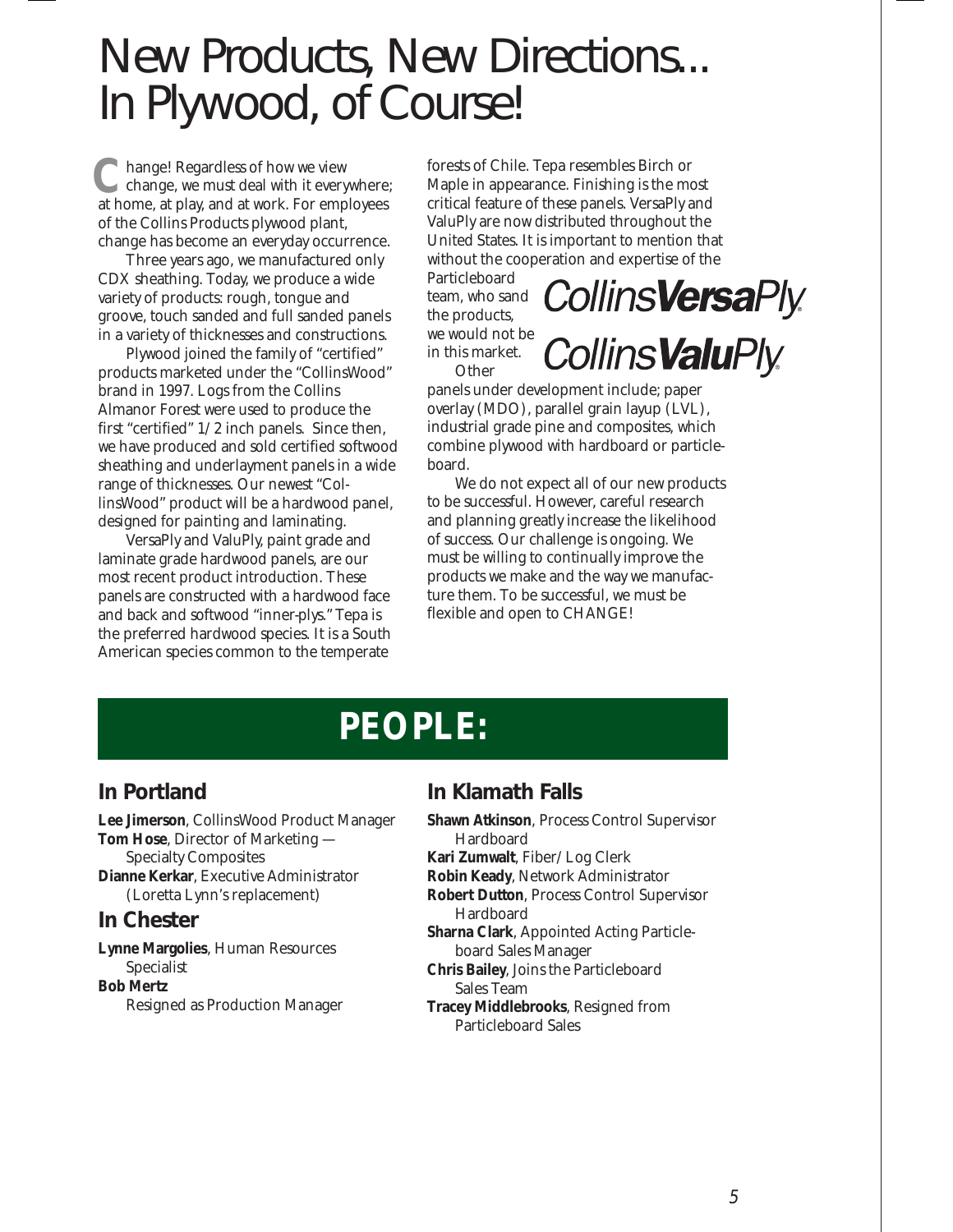### New Products, New Directions... In Plywood, of Course!

hange! Regardless of how we view change, we must deal with it everywhere; **C** hange! Regardless of how we view<br>at home, at play, and at work. For employees of the Collins Products plywood plant, change has become an everyday occurrence.

Three years ago, we manufactured only CDX sheathing. Today, we produce a wide variety of products: rough, tongue and groove, touch sanded and full sanded panels in a variety of thicknesses and constructions.

Plywood joined the family of "certified" products marketed under the "CollinsWood" brand in 1997. Logs from the Collins Almanor Forest were used to produce the first "certified" 1/2 inch panels. Since then, we have produced and sold certified softwood sheathing and underlayment panels in a wide range of thicknesses. Our newest "CollinsWood" product will be a hardwood panel, designed for painting and laminating.

VersaPly and ValuPly, paint grade and laminate grade hardwood panels, are our most recent product introduction. These panels are constructed with a hardwood face and back and softwood "inner-plys." Tepa is the preferred hardwood species. It is a South American species common to the temperate

forests of Chile. Tepa resembles Birch or Maple in appearance. Finishing is the most critical feature of these panels. VersaPly and ValuPly are now distributed throughout the United States. It is important to mention that without the cooperation and expertise of the

Particleboard team, who sand the products, we would not be in this market. **Other** 

**CollinsVersaPly CollinsValuPly** 

panels under development include; paper overlay (MDO), parallel grain layup (LVL), industrial grade pine and composites, which combine plywood with hardboard or particleboard.

We do not expect all of our new products to be successful. However, careful research and planning greatly increase the likelihood of success. Our challenge is ongoing. We must be willing to continually improve the products we make and the way we manufacture them. To be successful, we must be flexible and open to CHANGE!

### **PEOPLE:**

### **In Portland**

**Lee Jimerson**, CollinsWood Product Manager **Tom Hose**, Director of Marketing — Specialty Composites **Dianne Kerkar**, Executive Administrator (Loretta Lynn's replacement)

#### **In Chester**

**Lynne Margolies**, Human Resources Specialist **Bob Mertz** Resigned as Production Manager

### **In Klamath Falls**

- **Shawn Atkinson**, Process Control Supervisor Hardboard **Kari Zumwalt**, Fiber/Log Clerk
- **Robin Keady**, Network Administrator
- **Robert Dutton**, Process Control Supervisor Hardboard
- **Sharna Clark**, Appointed Acting Particleboard Sales Manager
- **Chris Bailey**, Joins the Particleboard Sales Team
- **Tracey Middlebrooks**, Resigned from Particleboard Sales